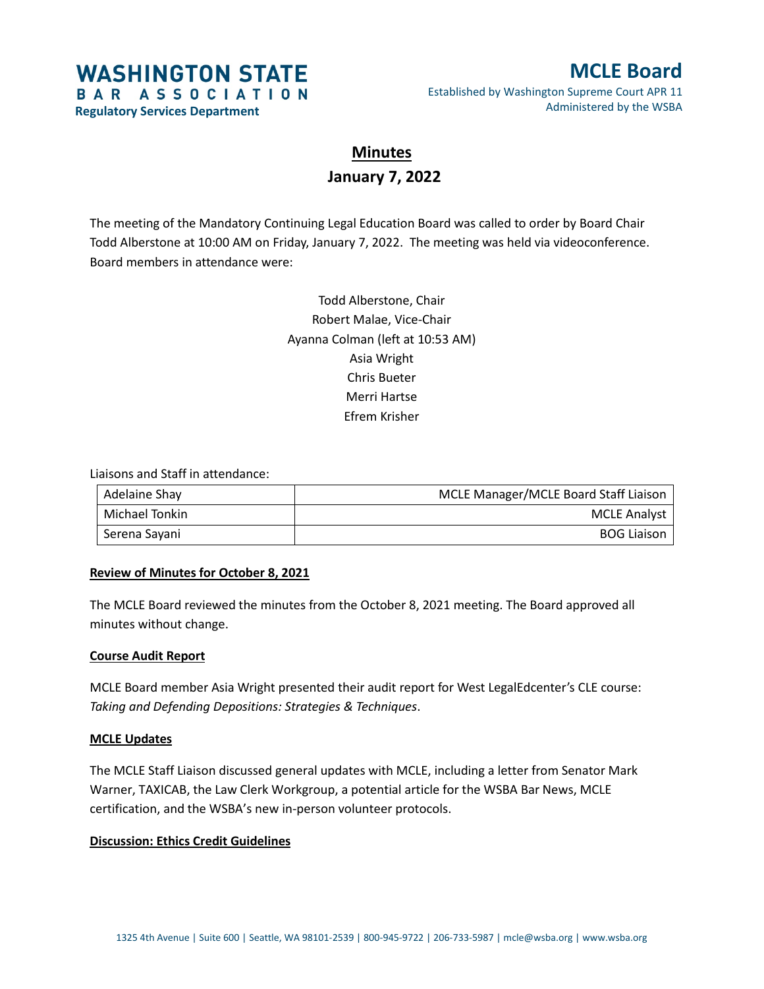# **WASHINGTON STATE** BAR ASSOCIATION

**Regulatory Services Department**

# **MCLE Board** Established by Washington Supreme Court APR 11

Administered by the WSBA

**Minutes January 7, 2022**

The meeting of the Mandatory Continuing Legal Education Board was called to order by Board Chair Todd Alberstone at 10:00 AM on Friday, January 7, 2022. The meeting was held via videoconference. Board members in attendance were:

> Todd Alberstone, Chair Robert Malae, Vice-Chair Ayanna Colman (left at 10:53 AM) Asia Wright Chris Bueter Merri Hartse Efrem Krisher

Liaisons and Staff in attendance:

| Adelaine Shay  | MCLE Manager/MCLE Board Staff Liaison |
|----------------|---------------------------------------|
| Michael Tonkin | <b>MCLE Analyst</b>                   |
| Serena Sayani  | <b>BOG Liaison</b>                    |

## **Review of Minutes for October 8, 2021**

The MCLE Board reviewed the minutes from the October 8, 2021 meeting. The Board approved all minutes without change.

#### **Course Audit Report**

MCLE Board member Asia Wright presented their audit report for West LegalEdcenter's CLE course: *Taking and Defending Depositions: Strategies & Techniques*.

#### **MCLE Updates**

The MCLE Staff Liaison discussed general updates with MCLE, including a letter from Senator Mark Warner, TAXICAB, the Law Clerk Workgroup, a potential article for the WSBA Bar News, MCLE certification, and the WSBA's new in-person volunteer protocols.

## **Discussion: Ethics Credit Guidelines**